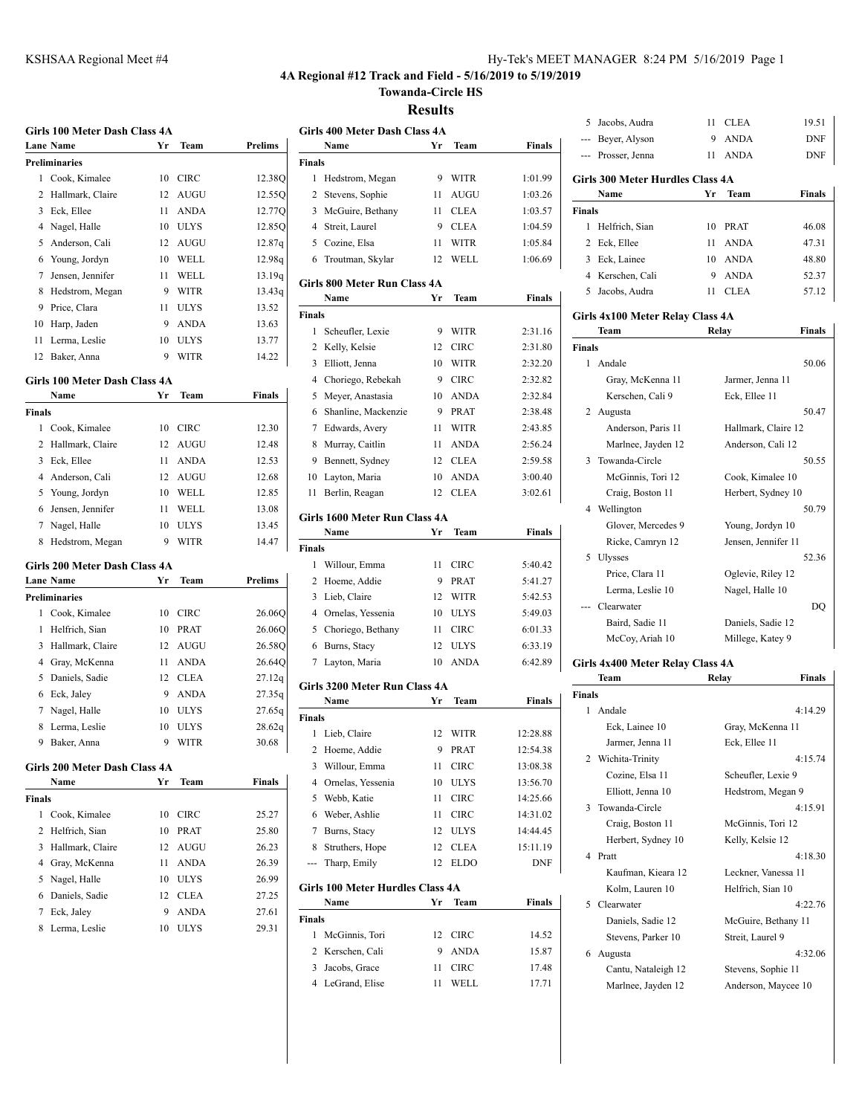## **4A Regional #12 Track and Field - 5/16/2019 to 5/19/2019**

**Towanda-Circle HS**

## **Results**

|               | Girls 100 Meter Dash Class 4A<br><b>Lane Name</b> | Yr | Team        | <b>Prelims</b>                    | Girls 4<br>N <sub>2</sub>   |
|---------------|---------------------------------------------------|----|-------------|-----------------------------------|-----------------------------|
|               | <b>Preliminaries</b>                              |    |             |                                   |                             |
| 1             | Cook, Kimalee                                     | 10 | <b>CIRC</b> |                                   | <b>Finals</b><br>1<br>$H_6$ |
| 2             | Hallmark, Claire                                  | 12 | AUGU        | 12.38Q                            | 2<br>St                     |
| 3             | Eck, Ellee                                        | 11 | <b>ANDA</b> | 12.55Q<br>12.77Q                  | 3<br>М                      |
| 4             | Nagel, Halle                                      | 10 | <b>ULYS</b> | 12.85Q                            | Sti<br>4                    |
| 5             | Anderson, Cali                                    | 12 | AUGU        | 12.87q                            | $5$ Co                      |
| 6             | Young, Jordyn                                     | 10 | WELL        | 12.98q                            | 6<br>Tr                     |
| 7             | Jensen, Jennifer                                  | 11 | WELL        | 13.19q                            |                             |
| 8             | Hedstrom, Megan                                   | 9  | WITR        | 13.43q                            | Girls 80                    |
| 9             | Price, Clara                                      | 11 | <b>ULYS</b> | 13.52                             | N <sub>2</sub>              |
| 10            | Harp, Jaden                                       | 9  | <b>ANDA</b> | 13.63                             | <b>Finals</b>               |
| 11            | Lerma, Leslie                                     | 10 | <b>ULYS</b> | 13.77                             | 1<br>Sc                     |
| 12            |                                                   | 9  | WITR        |                                   | 2<br>Kε                     |
|               | Baker, Anna                                       |    |             | 14.22                             | 3<br>El                     |
|               | Girls 100 Meter Dash Class 4A                     |    |             |                                   | $\overline{4}$<br>Cł        |
|               | Name                                              | Yr | Team        | <b>Finals</b>                     | 5<br>M                      |
| <b>Finals</b> |                                                   |    |             |                                   | 6<br>Sh                     |
| 1             | Cook, Kimalee                                     | 10 | <b>CIRC</b> | 12.30                             | 7 Ec                        |
| 2             | Hallmark, Claire                                  | 12 | AUGU        | 12.48                             | 8<br>M                      |
| 3             | Eck, Ellee                                        | 11 | ANDA        | 12.53                             | 9<br>Bε                     |
| 4             | Anderson, Cali                                    | 12 | <b>AUGU</b> | 12.68                             | 10<br>La                    |
| 5             | Young, Jordyn                                     | 10 | WELL        | 12.85                             | 11<br>Bε                    |
| 6             | Jensen, Jennifer                                  | 11 | WELL        | 13.08                             |                             |
| 7             | Nagel, Halle                                      | 10 | ULYS        | 13.45                             | Girls 1<br>N,               |
| 8             | Hedstrom, Megan                                   | 9  | WITR        | 14.47                             | Finals                      |
|               |                                                   |    |             |                                   | 1<br>W                      |
|               | Girls 200 Meter Dash Class 4A<br><b>Lane Name</b> | Yr | Team        | Prelims                           | 2<br>H                      |
|               | <b>Preliminaries</b>                              |    |             |                                   | 3<br>Li                     |
| 1             | Cook, Kimalee                                     | 10 | <b>CIRC</b> | 26.06Q                            | $\overline{4}$<br>O         |
| 1             | Helfrich, Sian                                    |    |             |                                   |                             |
|               |                                                   |    |             |                                   |                             |
|               |                                                   | 10 | PRAT        | 26.06Q                            | 5<br>Cł                     |
| 3             | Hallmark, Claire                                  | 12 | <b>AUGU</b> | 26.58Q                            | 6<br>Bι                     |
| 4             | Gray, McKenna                                     | 11 | ANDA        | 26.64Q                            | 7<br>La                     |
| 5             | Daniels, Sadie                                    | 12 | <b>CLEA</b> | 27.12q                            | Girls 32                    |
| 6             | Eck, Jaley                                        | 9  | <b>ANDA</b> | 27.35q                            | N,                          |
| 7             | Nagel, Halle                                      | 10 | <b>ULYS</b> | 27.65q                            | Finals                      |
| 8             | Lerma, Leslie                                     | 10 | <b>ULYS</b> | 28.62q                            | 1<br>Li                     |
|               | 9 Baker, Anna                                     |    | 9 WITR      | 30.68<br>$\overline{\phantom{a}}$ | 2<br>H                      |
|               | Girls 200 Meter Dash Class 4A                     |    |             |                                   | 3<br>W                      |
|               | Name                                              | Yr | Team        | <b>Finals</b>                     | $\overline{4}$<br>O         |
| <b>Finals</b> |                                                   |    |             |                                   | 5<br>W                      |
| 1             | Cook, Kimalee                                     | 10 | <b>CIRC</b> | 25.27                             | 6<br>W                      |
| 2             | Helfrich, Sian                                    | 10 | PRAT        | 25.80                             | 7<br>Βι                     |
| 3             | Hallmark, Claire                                  | 12 | AUGU        | 26.23                             | 8<br>Sti                    |
|               | 4 Gray, McKenna                                   | 11 | <b>ANDA</b> | 26.39                             | Tł                          |
| 5             | Nagel, Halle                                      | 10 | ULYS        | 26.99                             |                             |
| 6             | Daniels, Sadie                                    | 12 | CLEA        | 27.25                             | Girls 10                    |
| 7             | Eck, Jaley                                        | 9  | ANDA        | 27.61                             | N,                          |
| 8             | Lerma, Leslie                                     | 10 | ULYS        | 29.31                             | Finals<br>$\mathbf{1}$<br>M |

| <b>Results</b> |                                         |         |                     |               |  |
|----------------|-----------------------------------------|---------|---------------------|---------------|--|
|                | Girls 400 Meter Dash Class 4A           |         |                     |               |  |
|                | Name                                    | Yr      | Team                | <b>Finals</b> |  |
| <b>Finals</b>  |                                         |         |                     |               |  |
| 1              | Hedstrom, Megan                         | 9       | WITR                | 1:01.99       |  |
| 2              | Stevens, Sophie                         | 11      | <b>AUGU</b>         | 1:03.26       |  |
| 3              | McGuire, Bethany                        | 11      | <b>CLEA</b>         | 1:03.57       |  |
| 4              | Streit, Laurel                          | 9       | CLEA                | 1:04.59       |  |
|                | 5 Cozine, Elsa                          | 11      | WITR                | 1:05.84       |  |
| 6              | Troutman, Skylar                        | 12      | WELL                | 1:06.69       |  |
|                | <b>Girls 800 Meter Run Class 4A</b>     |         |                     |               |  |
|                | Name                                    | Yr      | Team                | <b>Finals</b> |  |
| Finals         |                                         |         |                     |               |  |
| 1              | Scheufler, Lexie                        | 9       | WITR                | 2:31.16       |  |
| 2              | Kelly, Kelsie                           | 12      | <b>CIRC</b>         | 2:31.80       |  |
| 3              | Elliott, Jenna                          | 10      | <b>WITR</b>         | 2:32.20       |  |
| $\overline{4}$ | Choriego, Rebekah                       | 9       | <b>CIRC</b>         | 2:32.82       |  |
| 5              | Meyer, Anastasia                        | 10      | <b>ANDA</b>         | 2:32.84       |  |
| 6              | Shanline, Mackenzie                     | 9       | <b>PRAT</b>         | 2:38.48       |  |
| 7              | Edwards, Avery                          | 11      | <b>WITR</b>         | 2:43.85       |  |
| 8              | Murray, Caitlin                         | 11      | ANDA                | 2:56.24       |  |
| 9              | Bennett, Sydney                         | 12      | <b>CLEA</b>         | 2:59.58       |  |
| 10             | Layton, Maria                           | 10      | <b>ANDA</b>         | 3:00.40       |  |
| 11             | Berlin, Reagan                          | 12      | <b>CLEA</b>         | 3:02.61       |  |
|                | Girls 1600 Meter Run Class 4A           |         |                     |               |  |
|                | Name                                    | Yr      | Team                | <b>Finals</b> |  |
| Finals         |                                         |         |                     |               |  |
| 1              | Willour, Emma                           | 11      | CIRC                | 5:40.42       |  |
| 2              | Hoeme, Addie                            | 9       | <b>PRAT</b>         | 5:41.27       |  |
| 3              | Lieb, Claire                            | 12      | <b>WITR</b>         | 5:42.53       |  |
|                | 4 Ornelas, Yessenia                     | 10      | <b>ULYS</b>         | 5:49.03       |  |
|                | 5 Choriego, Bethany                     | 11      | <b>CIRC</b>         | 6:01.33       |  |
| 6              | Burns, Stacy                            | 12      | ULYS                | 6:33.19       |  |
| 7              | Layton, Maria                           | 10      | <b>ANDA</b>         | 6:42.89       |  |
|                | Girls 3200 Meter Run Class 4A           |         |                     |               |  |
|                | Name                                    | Yr      | Team                | <b>Finals</b> |  |
| Finals         |                                         |         |                     |               |  |
| 1              | Lieb, Claire                            | 12      | WITR                | 12:28.88      |  |
| 2              | Hoeme, Addie                            | 9       | PRAT                | 12:54.38      |  |
| 3              | Willour, Emma                           | 11      | <b>CIRC</b>         | 13:08.38      |  |
| 4              | Ornelas, Yessenia                       | 10      | ULYS                | 13:56.70      |  |
| 5              | Webb, Katie                             | 11      | CIRC                | 14:25.66      |  |
| 6              | Weber, Ashlie                           | 11      | CIRC                | 14:31.02      |  |
| 7              | Burns, Stacy                            | 12      | ULYS                | 14:44.45      |  |
| 8              | Struthers, Hope                         | 12      | CLEA                | 15:11.19      |  |
| ---            | Tharp, Emily                            | 12      | <b>ELDO</b>         | <b>DNF</b>    |  |
|                |                                         |         |                     |               |  |
|                | <b>Girls 100 Meter Hurdles Class 4A</b> |         |                     |               |  |
|                | Name                                    | Yr      | Team                | Finals        |  |
| <b>Finals</b>  |                                         |         |                     |               |  |
| 1<br>2         | McGinnis, Tori<br>Kerschen, Cali        | 12<br>9 | CIRC<br><b>ANDA</b> | 14.52         |  |
|                |                                         |         |                     | 15.87         |  |
| 3<br>4         | Jacobs, Grace                           | 11      | <b>CIRC</b>         | 17.48         |  |
|                | LeGrand, Elise                          | 11      | WELL                | 17.71         |  |
|                |                                         |         |                     |               |  |
|                |                                         |         |                     |               |  |

|        | 5 Jacobs, Audra                         | 11  | <b>CLEA</b> | 19.51         |
|--------|-----------------------------------------|-----|-------------|---------------|
|        | --- Bever, Alyson                       | 9   | <b>ANDA</b> | DNF           |
|        | --- Prosser, Jenna                      | 11. | <b>ANDA</b> | DNF           |
|        | <b>Girls 300 Meter Hurdles Class 4A</b> |     |             |               |
|        | Name                                    | Yr  | <b>Team</b> | <b>Finals</b> |
| Finals |                                         |     |             |               |
| 1      | Helfrich, Sian                          | 10  | <b>PRAT</b> | 46.08         |
|        | 2 Eck, Ellee                            | 11  | <b>ANDA</b> | 47.31         |
|        | 3 Eck, Lainee                           | 10. | <b>ANDA</b> | 48.80         |
|        | 4 Kerschen, Cali                        | 9   | <b>ANDA</b> | 52.37         |
| 5.     | Jacobs, Audra                           | 11  | <b>CLEA</b> | 57.12         |
|        |                                         |     |             |               |

|  | <b>Girls 4x100 Meter Relay Class 4A</b> |  |  |
|--|-----------------------------------------|--|--|
|  |                                         |  |  |

|               | Team               | Relay               | Finals |
|---------------|--------------------|---------------------|--------|
| <b>Finals</b> |                    |                     |        |
|               | 1 Andale           |                     | 50.06  |
|               | Gray, McKenna 11   | Jarmer, Jenna 11    |        |
|               | Kerschen, Cali 9   | Eck, Ellee 11       |        |
|               | 2 Augusta          |                     | 50.47  |
|               | Anderson, Paris 11 | Hallmark, Claire 12 |        |
|               | Marlnee, Jayden 12 | Anderson, Cali 12   |        |
|               | 3 Towanda-Circle   |                     | 50.55  |
|               | McGinnis, Tori 12  | Cook, Kimalee 10    |        |
|               | Craig, Boston 11   | Herbert, Sydney 10  |        |
|               | 4 Wellington       |                     | 50.79  |
|               | Glover, Mercedes 9 | Young, Jordyn 10    |        |
|               | Ricke, Camryn 12   | Jensen, Jennifer 11 |        |
|               | 5 Ulysses          |                     | 52.36  |
|               | Price, Clara 11    | Oglevie, Riley 12   |        |
|               | Lerma, Leslie 10   | Nagel, Halle 10     |        |
|               | --- Clearwater     |                     | DO     |
|               | Baird, Sadie 11    | Daniels, Sadie 12   |        |
|               | McCoy, Ariah 10    | Millege, Katey 9    |        |
|               |                    |                     |        |

#### **Girls 4x400 Meter Relay Class 4A**

|               | Team                | Relay               | Finals  |
|---------------|---------------------|---------------------|---------|
| <b>Finals</b> |                     |                     |         |
|               | 1 Andale            |                     | 4:14.29 |
|               | Eck, Lainee 10      | Gray, McKenna 11    |         |
|               | Jarmer, Jenna 11    | Eck, Ellee 11       |         |
|               | 2 Wichita-Trinity   |                     | 4:15.74 |
|               | Cozine, Elsa 11     | Scheufler, Lexie 9  |         |
|               | Elliott. Jenna 10   | Hedstrom, Megan 9   |         |
|               | 3 Towanda-Circle    |                     | 4:15.91 |
|               | Craig, Boston 11    | McGinnis, Tori 12   |         |
|               | Herbert, Sydney 10  | Kelly, Kelsie 12    |         |
|               | 4 Pratt             |                     | 4:18.30 |
|               | Kaufman, Kieara 12  | Leckner, Vanessa 11 |         |
|               | Kolm, Lauren 10     | Helfrich, Sian 10   |         |
|               | 5 Clearwater        |                     | 4.22.76 |
|               | Daniels, Sadie 12   | McGuire, Bethany 11 |         |
|               | Stevens, Parker 10  | Streit, Laurel 9    |         |
|               | 6 Augusta           |                     | 4:32.06 |
|               | Cantu, Nataleigh 12 | Stevens, Sophie 11  |         |
|               | Marlnee, Jayden 12  | Anderson, Maycee 10 |         |
|               |                     |                     |         |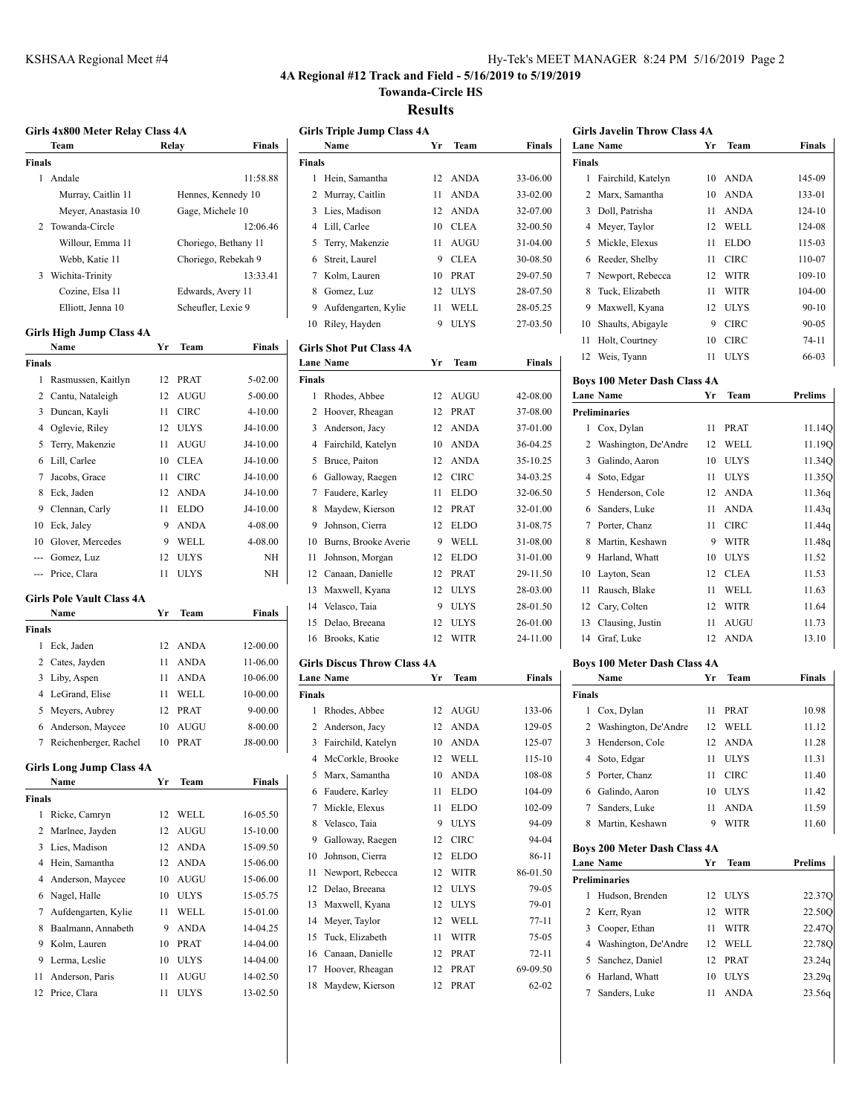#### **4A Regional #12 Track and Field - 5/16/2019 to 5/19/2019**

**Towanda-Circle HS**

**Results**

|        | Girls 4x800 Meter Relay Class 4A |    |                  |                      |        | <b>Girls Triple Jump Class 4A</b>  |    |             |               |
|--------|----------------------------------|----|------------------|----------------------|--------|------------------------------------|----|-------------|---------------|
|        | Team                             |    | Relay            | Finals               |        | Name                               | Yr | Team        | <b>Finals</b> |
| Finals |                                  |    |                  |                      | Finals |                                    |    |             |               |
|        | 1 Andale                         |    |                  | 11:58.88             |        | 1 Hein, Samantha                   |    | 12 ANDA     | 33-06.00      |
|        | Murray, Caitlin 11               |    |                  | Hennes, Kennedy 10   | 2      | Murray, Caitlin                    | 11 | <b>ANDA</b> | 33-02.00      |
|        | Meyer, Anastasia 10              |    | Gage, Michele 10 |                      | 3      | Lies, Madison                      | 12 | <b>ANDA</b> | 32-07.00      |
|        | 2 Towanda-Circle                 |    |                  | 12:06.46             |        | 4 Lill, Carlee                     | 10 | <b>CLEA</b> | 32-00.50      |
|        | Willour, Emma 11                 |    |                  | Choriego, Bethany 11 | 5      | Terry, Makenzie                    | 11 | AUGU        | 31-04.00      |
|        | Webb, Katie 11                   |    |                  | Choriego, Rebekah 9  | 6      | Streit, Laurel                     | 9  | <b>CLEA</b> | 30-08.50      |
|        | 3 Wichita-Trinity                |    |                  | 13:33.41             | 7      | Kolm, Lauren                       | 10 | PRAT        | 29-07.50      |
|        | Cozine, Elsa 11                  |    |                  | Edwards, Avery 11    | 8      | Gomez, Luz                         | 12 | <b>ULYS</b> | 28-07.50      |
|        | Elliott, Jenna 10                |    |                  | Scheufler, Lexie 9   | 9      | Aufdengarten, Kylie                | 11 | WELL        | 28-05.25      |
|        |                                  |    |                  |                      | 10     | Riley, Hayden                      | 9  | <b>ULYS</b> | 27-03.50      |
|        | Girls High Jump Class 4A         |    |                  |                      |        |                                    |    |             |               |
|        | Name                             | Yr | Team             | Finals               |        | <b>Girls Shot Put Class 4A</b>     |    |             |               |
| Finals |                                  |    |                  |                      |        | <b>Lane Name</b>                   | Yr | Team        | Finals        |
|        | 1 Rasmussen, Kaitlyn             | 12 | <b>PRAT</b>      | 5-02.00              | Finals |                                    |    |             |               |
|        | 2 Cantu, Nataleigh               | 12 | AUGU             | $5 - 00.00$          |        | 1 Rhodes, Abbee                    | 12 | AUGU        | 42-08.00      |
|        | 3 Duncan, Kayli                  | 11 | <b>CIRC</b>      | 4-10.00              |        | 2 Hoover, Rheagan                  | 12 | <b>PRAT</b> | 37-08.00      |
|        | 4 Oglevie, Riley                 | 12 | <b>ULYS</b>      | J4-10.00             | 3      | Anderson, Jacy                     | 12 | <b>ANDA</b> | 37-01.00      |
| 5      | Terry, Makenzie                  | 11 | AUGU             | J4-10.00             |        | 4 Fairchild, Katelyn               | 10 | <b>ANDA</b> | 36-04.25      |
|        | 6 Lill, Carlee                   | 10 | <b>CLEA</b>      | J4-10.00             |        | 5 Bruce, Paiton                    | 12 | ANDA        | 35-10.25      |
| 7      | Jacobs, Grace                    | 11 | <b>CIRC</b>      | J4-10.00             | 6      | Galloway, Raegen                   | 12 | <b>CIRC</b> | 34-03.25      |
|        | 8 Eck, Jaden                     | 12 | <b>ANDA</b>      | J4-10.00             | 7      | Faudere, Karley                    | 11 | <b>ELDO</b> | 32-06.50      |
| 9      | Clennan, Carly                   | 11 | <b>ELDO</b>      | J4-10.00             | 8      | Maydew, Kierson                    | 12 | <b>PRAT</b> | 32-01.00      |
| 10     | Eck, Jaley                       | 9  | <b>ANDA</b>      | 4-08.00              | 9      | Johnson, Cierra                    | 12 | <b>ELDO</b> | 31-08.75      |
| 10     | Glover, Mercedes                 | 9  | WELL             | 4-08.00              | 10     | Burns, Brooke Averie               | 9  | WELL        | 31-08.00      |
| ---    | Gomez, Luz                       | 12 | <b>ULYS</b>      | NН                   | 11     | Johnson, Morgan                    | 12 | <b>ELDO</b> | 31-01.00      |
| ---    | Price, Clara                     | 11 | ULYS             | NΗ                   | 12     | Canaan, Danielle                   | 12 | <b>PRAT</b> | 29-11.50      |
|        |                                  |    |                  |                      | 13     | Maxwell, Kyana                     | 12 | <b>ULYS</b> | 28-03.00      |
|        | <b>Girls Pole Vault Class 4A</b> |    |                  |                      | 14     | Velasco, Taia                      | 9  | <b>ULYS</b> | 28-01.50      |
|        | Name                             | Yr | Team             | Finals               | 15     | Delao, Breeana                     | 12 | <b>ULYS</b> | 26-01.00      |
| Finals |                                  |    |                  |                      |        | 16 Brooks, Katie                   | 12 | <b>WITR</b> | 24-11.00      |
|        | 1 Eck, Jaden                     | 12 | <b>ANDA</b>      | 12-00.00             |        |                                    |    |             |               |
|        | 2 Cates, Jayden                  | 11 | ANDA             | 11-06.00             |        | <b>Girls Discus Throw Class 4A</b> |    |             |               |
|        | 3 Liby, Aspen                    | 11 | <b>ANDA</b>      | 10-06.00             |        | <b>Lane Name</b>                   | Yr | Team        | Finals        |
|        | 4 LeGrand, Elise                 | 11 | WELL.            | 10-00.00             | Finals |                                    |    |             |               |
|        | 5 Meyers, Aubrey                 | 12 | PRAT             | $9 - 00.00$          |        | 1 Rhodes, Abbee                    |    | 12 AUGU     | 133-06        |
|        | 6 Anderson, Maycee               | 10 | AUGU             | 8-00.00              | 2      | Anderson, Jacy                     | 12 | <b>ANDA</b> | 129-05        |
|        | 7 Reichenberger, Rachel          | 10 | PRAT             | J8-00.00             |        | 3 Fairchild, Katelyn               | 10 | ANDA        | 125-07        |
|        | <b>Girls Long Jump Class 4A</b>  |    |                  |                      | 4      | McCorkle, Brooke                   | 12 | WELL        | 115-10        |
|        | Name                             | Yr | Team             | Finals               | 5      | Marx, Samantha                     | 10 | ANDA        | 108-08        |
| Finals |                                  |    |                  |                      | 6      | Faudere, Karley                    | 11 | <b>ELDO</b> | 104-09        |
|        | 1 Ricke, Camryn                  | 12 | WELL             | 16-05.50             | 7      | Mickle, Elexus                     | 11 | <b>ELDO</b> | 102-09        |
|        | 2 Marlnee, Jayden                | 12 | AUGU             | 15-10.00             | 8      | Velasco, Taia                      | 9  | <b>ULYS</b> | 94-09         |
|        | 3 Lies, Madison                  | 12 | <b>ANDA</b>      | 15-09.50             | 9      | Galloway, Raegen                   | 12 | <b>CIRC</b> | 94-04         |
|        | 4 Hein, Samantha                 | 12 | <b>ANDA</b>      | 15-06.00             | 10     | Johnson, Cierra                    | 12 | <b>ELDO</b> | 86-11         |
|        | Anderson, Maycee                 | 10 | <b>AUGU</b>      | 15-06.00             | 11     | Newport, Rebecca                   | 12 | WITR        | 86-01.50      |
| 4      |                                  |    |                  |                      | 12     | Delao, Breeana                     | 12 | <b>ULYS</b> | 79-05         |
|        | 6 Nagel, Halle                   | 10 | <b>ULYS</b>      | 15-05.75             | 13     | Maxwell, Kyana                     | 12 | <b>ULYS</b> | 79-01         |
|        | 7 Aufdengarten, Kylie            | 11 | WELL             | 15-01.00             | 14     | Meyer, Taylor                      | 12 | WELL        | 77-11         |
|        | 8 Baalmann, Annabeth             | 9  | <b>ANDA</b>      | 14-04.25             | 15     | Tuck, Elizabeth                    | 11 | WITR        | 75-05         |
|        | 9 Kolm, Lauren                   | 10 | PRAT             | 14-04.00             | 16     | Canaan, Danielle                   | 12 | PRAT        | 72-11         |
|        | 9 Lerma, Leslie                  |    | 10 ULYS          | 14-04.00             |        |                                    |    |             |               |

 Anderson, Paris 11 AUGU 14-02.50 12 Price, Clara 11 ULYS 13-02.50

## **Girls Triple Jump Class 4A Name Yr Team Finals** Iein, Samantha 12 ANDA 33-06.00 Aurray, Caitlin 11 ANDA 33-02.00 Lies, Madison 12 ANDA 32-07.00 ill, Carlee 10 CLEA 32-00.50 Terry, Makenzie 11 AUGU 31-04.00 8 Streit, Laurel 9 CLEA 30-08.50 Kolm, Lauren 10 PRAT 29-07.50 8 Gomez, Luz 12 ULYS 28-07.50 Aufdengarten, Kylie 11 WELL 28-05.25 27-03.50 Riley, Hayden 9 ULYS **Girls Shot Put Class 4A Lane Name Yr Team Finals** 2hodes, Abbee 12 AUGU 42-08.00 Hoover, Rheagan 12 PRAT 37-08.00 Anderson, Jacy 12 ANDA 37-01.00 Fairchild, Katelyn 10 ANDA 36-04.25

|   | 3 Anderson, Jacy        |    | 12 ANDA     | 37-01.00 |
|---|-------------------------|----|-------------|----------|
|   | 4 Fairchild, Katelyn    |    | 10 ANDA     | 36-04.25 |
|   | 5 Bruce, Paiton         |    | 12 ANDA     | 35-10.25 |
|   | 6 Galloway, Raegen      |    | 12 CIRC     | 34-03.25 |
|   | 7 Faudere, Karley       | 11 | <b>ELDO</b> | 32-06.50 |
|   | 8 Maydew, Kierson       |    | 12 PRAT     | 32-01.00 |
| 9 | Johnson, Cierra         | 12 | <b>ELDO</b> | 31-08.75 |
|   | 10 Burns, Brooke Averie | 9  | WELL        | 31-08.00 |
|   | 11 Johnson, Morgan      | 12 | <b>ELDO</b> | 31-01.00 |
|   | 12 Canaan, Danielle     |    | 12 PRAT     | 29-11.50 |
|   | 13 Maxwell, Kyana       |    | 12 ULYS     | 28-03.00 |
|   | 14 Velasco, Taia        | 9  | <b>ULYS</b> | 28-01.50 |
|   | 15 Delao, Breeana       | 12 | <b>ULYS</b> | 26-01.00 |

## **Girls Discus Throw Class 4A Lane Name Yr Team Finals**

| nals           |                    |    |             |           |
|----------------|--------------------|----|-------------|-----------|
| 1              | Rhodes, Abbee      | 12 | <b>AUGU</b> | 133-06    |
| $\overline{2}$ | Anderson, Jacy     | 12 | <b>ANDA</b> | 129-05    |
| 3              | Fairchild, Katelyn | 10 | <b>ANDA</b> | 125-07    |
| 4              | McCorkle, Brooke   | 12 | WELL        | 115-10    |
| 5              | Marx, Samantha     | 10 | <b>ANDA</b> | 108-08    |
| 6              | Faudere, Karley    | 11 | <b>ELDO</b> | 104-09    |
| 7              | Mickle, Elexus     | 11 | <b>ELDO</b> | 102-09    |
| 8              | Velasco, Taia      | 9  | <b>ULYS</b> | 94-09     |
| 9              | Galloway, Raegen   | 12 | <b>CIRC</b> | 94-04     |
| 10             | Johnson, Cierra    | 12 | <b>ELDO</b> | 86-11     |
| 11             | Newport, Rebecca   | 12 | <b>WITR</b> | 86-01.50  |
| 12             | Delao, Breeana     | 12 | <b>ULYS</b> | 79-05     |
| 13             | Maxwell, Kyana     | 12 | <b>ULYS</b> | 79-01     |
| 14             | Meyer, Taylor      | 12 | <b>WELL</b> | $77 - 11$ |
| 15             | Tuck, Elizabeth    | 11 | <b>WITR</b> | 75-05     |
| 16             | Canaan, Danielle   | 12 | <b>PRAT</b> | $72 - 11$ |
| 17             | Hoover, Rheagan    | 12 | <b>PRAT</b> | 69-09.50  |
|                | 18 Maydew, Kierson | 12 | <b>PRAT</b> | $62 - 02$ |

| <b>Girls Javelin Throw Class 4A</b> |    |             |            |  |  |
|-------------------------------------|----|-------------|------------|--|--|
| <b>Lane Name</b>                    | Уr | <b>Team</b> | Finals     |  |  |
| <b>Finals</b>                       |    |             |            |  |  |
| 1 Fairchild, Katelyn                | 10 |             | 145-09     |  |  |
| 2 Marx, Samantha                    | 10 | ANDA        | 133-01     |  |  |
| Doll, Patrisha                      | 11 | ANDA        | $124 - 10$ |  |  |
| Meyer, Taylor                       | 12 | WELL.       | 124-08     |  |  |
|                                     |    |             | ANDA       |  |  |

|    | 5 Mickle, Elexus   | 11 | EL DO       | 115-03    |
|----|--------------------|----|-------------|-----------|
|    | 6 Reeder, Shelby   | 11 | <b>CIRC</b> | 110-07    |
|    | 7 Newport, Rebecca | 12 | WITR        | 109-10    |
| 8  | Tuck, Elizabeth    | 11 | <b>WITR</b> | 104-00    |
| 9  | Maxwell, Kyana     | 12 | <b>ULYS</b> | $90 - 10$ |
| 10 | Shaults, Abigayle  | 9  | <b>CIRC</b> | $90 - 05$ |
| 11 | Holt, Courtney     | 10 | CIRC        | $74-11$   |
| 12 | Weis, Tyann        |    | ULYS        | 66-03     |

## **Boys 100 Meter Dash Class 4A**

|              | <b>Lane Name</b>     | Yr | Team        | <b>Prelims</b> |
|--------------|----------------------|----|-------------|----------------|
|              | <b>Preliminaries</b> |    |             |                |
| $\mathbf{1}$ | Cox, Dylan           | 11 | <b>PRAT</b> | 11.14Q         |
| 2            | Washington, De'Andre | 12 | WELL        | 11.190         |
| 3            | Galindo, Aaron       | 10 | <b>ULYS</b> | 11.34Q         |
| 4            | Soto, Edgar          | 11 | <b>ULYS</b> | 11.350         |
| 5            | Henderson, Cole      | 12 | <b>ANDA</b> | 11.36q         |
| 6            | Sanders, Luke        | 11 | <b>ANDA</b> | 11.43q         |
| 7            | Porter, Chanz        | 11 | <b>CIRC</b> | 11.44g         |
| 8            | Martin, Keshawn      | 9  | <b>WITR</b> | 11.48q         |
| 9            | Harland, Whatt       | 10 | <b>ULYS</b> | 11.52          |
| 10           | Layton, Sean         | 12 | <b>CLEA</b> | 11.53          |
| 11           | Rausch, Blake        | 11 | WELL        | 11.63          |
|              | 12 Cary, Colten      | 12 | <b>WITR</b> | 11.64          |
| 13           | Clausing, Justin     | 11 | <b>AUGU</b> | 11.73          |
| 14           | Graf, Luke           | 12 | <b>ANDA</b> | 13.10          |
|              |                      |    |             |                |

#### **Boys 100 Meter Dash Class 4A**

|        | Name                   | Vг  | <b>Team</b> | Finals |
|--------|------------------------|-----|-------------|--------|
| Finals |                        |     |             |        |
| 1      | Cox, Dylan             | 11  | <b>PRAT</b> | 10.98  |
|        | 2 Washington, De'Andre | 12  | WELL        | 11.12  |
|        | 3 Henderson, Cole      | 12. | <b>ANDA</b> | 11.28  |
|        | 4 Soto, Edgar          | 11  | ULYS        | 11.31  |
| 5.     | Porter, Chanz          | 11  | CIRC.       | 11.40  |
| 6      | Galindo, Aaron         | 10  | ULYS        | 11.42  |
| 7      | Sanders, Luke          | 11  | <b>ANDA</b> | 11.59  |
| 8      | Martin, Keshawn        | 9   | WITR        | 11.60  |

#### **Boys 200 Meter Dash Class 4A**

| <b>Lane Name</b>       | Yг  | <b>Team</b> | <b>Prelims</b> |
|------------------------|-----|-------------|----------------|
| <b>Preliminaries</b>   |     |             |                |
| Hudson, Brenden        | 12  | ULYS        | 22.37Q         |
| 2 Kerr, Ryan           | 12  | <b>WITR</b> | 22.50O         |
| 3 Cooper, Ethan        | 11  | <b>WITR</b> | 22.47Q         |
| 4 Washington, De'Andre | 12. | WELL        | 22.78Q         |
| 5 Sanchez, Daniel      | 12  | <b>PRAT</b> | 23.24q         |
| 6 Harland, Whatt       | 10  | ULYS        | 23.29q         |
| Sanders, Luke          | 11  | <b>ANDA</b> | 23.56g         |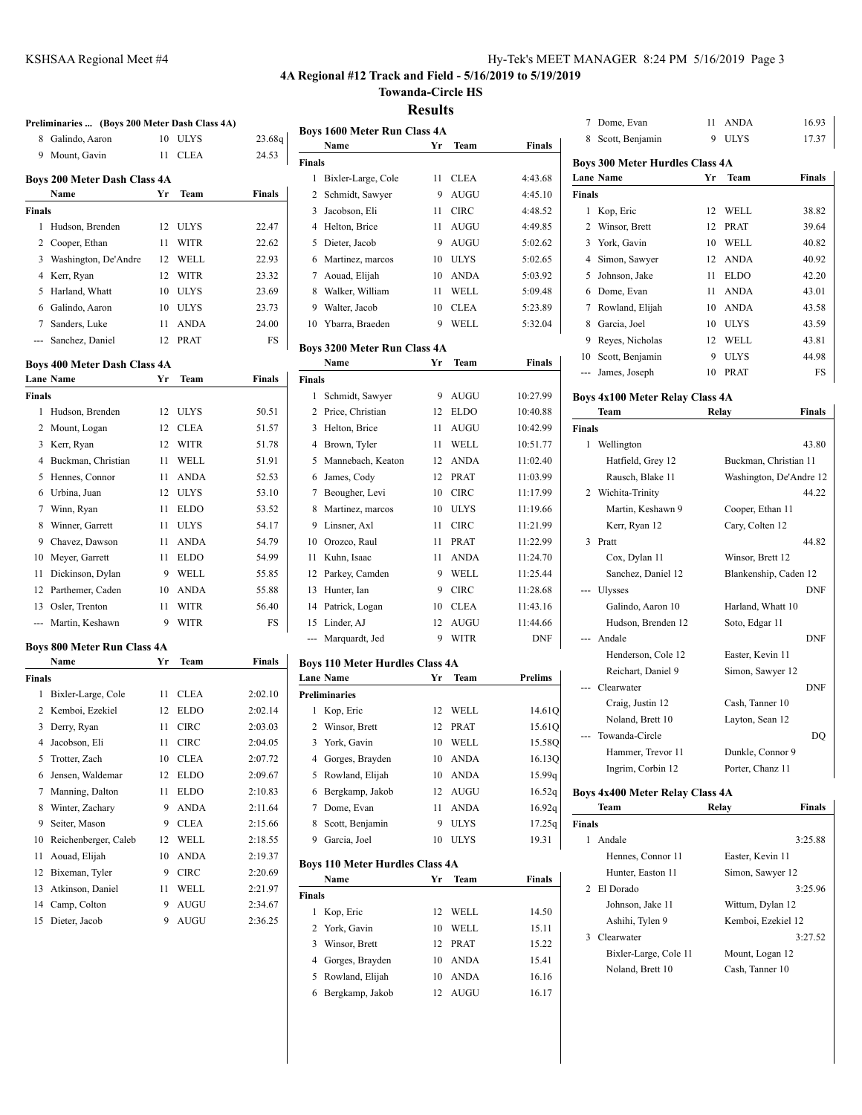## **4A Regional #12 Track and Field - 5/16/2019 to 5/19/2019**

**Towanda-Circle HS**

**Results**

|                 | Preliminaries  (Boys 200 Meter Dash Class 4A) |    |             |               |
|-----------------|-----------------------------------------------|----|-------------|---------------|
| 8               | Galindo, Aaron                                | 10 | <b>ULYS</b> | 23.68q        |
| 9.              | Mount, Gavin                                  | 11 | <b>CLEA</b> | 24.53         |
|                 | <b>Boys 200 Meter Dash Class 4A</b>           |    |             |               |
|                 | Name                                          | Yr | Team        | <b>Finals</b> |
| <b>Finals</b>   |                                               |    |             |               |
| 1               | Hudson, Brenden                               | 12 | <b>ULYS</b> | 22.47         |
| 2               | Cooper, Ethan                                 | 11 | WITR        | 22.62         |
| 3               | Washington, De'Andre                          | 12 | WELL        | 22.93         |
| 4               | Kerr, Ryan                                    | 12 | WITR        | 23.32         |
| 5               | Harland, Whatt                                | 10 | <b>ULYS</b> | 23.69         |
| 6               | Galindo, Aaron                                | 10 | <b>ULYS</b> | 23.73         |
| $7\phantom{.0}$ | Sanders, Luke                                 | 11 | ANDA        | 24.00         |
| ---             | Sanchez, Daniel                               | 12 | PRAT        | FS            |
|                 |                                               |    |             |               |
|                 | Boys 400 Meter Dash Class 4A                  |    |             |               |
|                 | <b>Lane Name</b>                              | Yr | Team        | <b>Finals</b> |
| <b>Finals</b>   |                                               |    |             |               |
| 1               | Hudson, Brenden                               | 12 | <b>ULYS</b> | 50.51         |
| 2               | Mount, Logan                                  | 12 | <b>CLEA</b> | 51.57         |
| 3               | Kerr, Ryan                                    | 12 | WITR        | 51.78         |
| 4               | Buckman, Christian                            | 11 | WELL        | 51.91         |
| 5               | Hennes, Connor                                | 11 | <b>ANDA</b> | 52.53         |
| 6               | Urbina, Juan                                  | 12 | <b>ULYS</b> | 53.10         |
| 7               | Winn, Ryan                                    | 11 | <b>ELDO</b> | 53.52         |
| 8               | Winner, Garrett                               | 11 | <b>ULYS</b> | 54.17         |
| 9               | Chavez, Dawson                                | 11 | <b>ANDA</b> | 54.79         |
| 10              | Meyer, Garrett                                | 11 | <b>ELDO</b> | 54.99         |
| 11              | Dickinson, Dylan                              | 9  | WELL        | 55.85         |
| 12              | Parthemer, Caden                              | 10 | ANDA        | 55.88         |
|                 | 13 Osler, Trenton                             | 11 | WITR        | 56.40         |
| ---             | Martin, Keshawn                               | 9  | <b>WITR</b> | FS            |
|                 |                                               |    |             |               |
|                 | Boys 800 Meter Run Class 4A<br>Name           | Yr | Team        | <b>Finals</b> |
| <b>Finals</b>   |                                               |    |             |               |
| 1               |                                               | 11 | <b>CLEA</b> |               |
|                 | Bixler-Large, Cole<br>2 Kemboi, Ezekiel       | 12 |             | 2:02.10       |
|                 |                                               |    | <b>ELDO</b> | 2:02.14       |
| 3               | Derry, Ryan                                   | 11 | <b>CIRC</b> | 2:03.03       |
| 4               | Jacobson, Eli                                 | 11 | <b>CIRC</b> | 2:04.05       |
| 5               | Trotter, Zach                                 | 10 | <b>CLEA</b> | 2:07.72       |
| 6               | Jensen, Waldemar                              | 12 | <b>ELDO</b> | 2:09.67       |
| 7               | Manning, Dalton                               | 11 | <b>ELDO</b> | 2:10.83       |
| 8               | Winter, Zachary                               | 9  | <b>ANDA</b> | 2:11.64       |
| 9               | Seiter, Mason                                 | 9  | <b>CLEA</b> | 2:15.66       |
| 10              | Reichenberger, Caleb                          | 12 | WELL        | 2:18.55       |
| 11              | Aouad, Elijah                                 | 10 | <b>ANDA</b> | 2:19.37       |
| 12              | Bixeman, Tyler                                | 9  | CIRC        | 2:20.69       |
| 13              | Atkinson, Daniel                              | 11 | WELL        | 2:21.97       |
| 14              | Camp, Colton                                  | 9  | AUGU        | 2:34.67       |
| 15              | Dieter, Jacob                                 | 9  | AUGU        | 2:36.25       |
|                 |                                               |    |             |               |

|                |                                        | ілсэшііэ |             |               |
|----------------|----------------------------------------|----------|-------------|---------------|
|                | <b>Boys 1600 Meter Run Class 4A</b>    |          |             |               |
|                | Name                                   | Yr       | Team        | <b>Finals</b> |
| <b>Finals</b>  |                                        |          |             |               |
| 1              | Bixler-Large, Cole                     | 11       | <b>CLEA</b> | 4:43.68       |
| $\overline{c}$ | Schmidt, Sawyer                        | 9        | <b>AUGU</b> | 4:45.10       |
| 3              | Jacobson, Eli                          | 11       | <b>CIRC</b> | 4:48.52       |
| 4              | Helton, Brice                          | 11       | <b>AUGU</b> | 4:49.85       |
| 5              | Dieter, Jacob                          | 9        | <b>AUGU</b> | 5:02.62       |
| 6              | Martinez, marcos                       | 10       | <b>ULYS</b> | 5:02.65       |
| 7              | Aouad, Elijah                          | 10       | <b>ANDA</b> | 5:03.92       |
| 8              | Walker, William                        | 11       | WELL        | 5:09.48       |
| 9              | Walter, Jacob                          | 10       | <b>CLEA</b> | 5:23.89       |
| 10             | Ybarra, Braeden                        | 9        | WELL        | 5:32.04       |
|                | <b>Boys 3200 Meter Run Class 4A</b>    |          |             |               |
|                | Name                                   | Yr       | <b>Team</b> | Finals        |
| <b>Finals</b>  |                                        |          |             |               |
| 1              | Schmidt, Sawyer                        | 9        | <b>AUGU</b> | 10:27.99      |
| $\overline{c}$ | Price, Christian                       | 12       | <b>ELDO</b> | 10:40.88      |
| 3              | Helton, Brice                          | 11       | <b>AUGU</b> | 10:42.99      |
| 4              | Brown, Tyler                           | 11       | WELL        | 10:51.77      |
| 5              | Mannebach, Keaton                      | 12       | <b>ANDA</b> | 11:02.40      |
| 6              | James, Cody                            | 12       | <b>PRAT</b> | 11:03.99      |
| 7              | Beougher, Levi                         | 10       | <b>CIRC</b> | 11:17.99      |
| 8              | Martinez, marcos                       | 10       | <b>ULYS</b> | 11:19.66      |
| 9              | Linsner, Axl                           | 11       | <b>CIRC</b> | 11:21.99      |
| 10             | Orozco, Raul                           | 11       | <b>PRAT</b> | 11:22.99      |
| 11             | Kuhn, Isaac                            | 11       | <b>ANDA</b> | 11:24.70      |
| 12             | Parkey, Camden                         | 9        | WELL        | 11:25.44      |
| 13             | Hunter, Ian                            | 9        | <b>CIRC</b> | 11:28.68      |
| 14             | Patrick, Logan                         | 10       | <b>CLEA</b> | 11:43.16      |
| 15             | Linder, AJ                             | 12       | AUGU        | 11:44.66      |
| ---            | Marquardt, Jed                         | 9        | <b>WITR</b> | <b>DNF</b>    |
|                | <b>Boys 110 Meter Hurdles Class 4A</b> |          |             |               |
|                | Lane Name                              | Yr       | Team        | Prelims       |
| Ţ.             |                                        |          |             |               |

| <b>Lane Name</b>     | Yr | <b>Team</b> | <b>Prelims</b> |
|----------------------|----|-------------|----------------|
| <b>Preliminaries</b> |    |             |                |
| Kop, Eric<br>1       | 12 | WELL.       | 14.61Q         |
| 2 Winsor, Brett      |    | 12 PRAT     | 15.610         |
| 3 York, Gavin        | 10 | WELL.       | 15.580         |
| 4 Gorges, Brayden    | 10 | <b>ANDA</b> | 16.130         |
| 5 Rowland, Elijah    | 10 | <b>ANDA</b> | 15.99q         |
| Bergkamp, Jakob<br>6 |    | 12 AUGU     | 16.52g         |
| Dome, Evan<br>7      | 11 | <b>ANDA</b> | 16.92q         |
| Scott, Benjamin<br>8 | 9  | <b>ULYS</b> | 17.25q         |
| Garcia, Joel<br>9    | 10 | <b>ULYS</b> | 19.31          |
|                      |    |             |                |

## **Boys 110 Meter Hurdles Class 4A**

|        | Name              | Vг | <b>Team</b> | <b>Finals</b> |
|--------|-------------------|----|-------------|---------------|
| Finals |                   |    |             |               |
| 1      | Kop, Eric         | 12 | WELL.       | 14.50         |
|        | 2 York, Gavin     | 10 | WELL.       | 15.11         |
|        | 3 Winsor, Brett   | 12 | PR AT       | 15.22         |
|        | 4 Gorges, Brayden | 10 | <b>ANDA</b> | 15.41         |
|        | 5 Rowland, Elijah | 10 | <b>ANDA</b> | 16.16         |
| 6      | Bergkamp, Jakob   | 12 | <b>AUGU</b> | 16.17         |

| 7                           | Dome, Evan                             | 11              | <b>ANDA</b> | 16.93         |
|-----------------------------|----------------------------------------|-----------------|-------------|---------------|
| 8                           | Scott, Benjamin                        | 9               | <b>ULYS</b> | 17.37         |
|                             | <b>Boys 300 Meter Hurdles Class 4A</b> |                 |             |               |
|                             | <b>Lane Name</b>                       | Yг              | <b>Team</b> | <b>Finals</b> |
| <b>Finals</b>               |                                        |                 |             |               |
| 1                           | Kop, Eric                              | 12              | WELL        | 38.82         |
| $\mathcal{D}_{\mathcal{A}}$ | Winsor, Brett                          | 12              | <b>PRAT</b> | 39.64         |
| 3                           | York, Gavin                            | 10              | WELL.       | 40.82         |
| 4                           | Simon, Sawyer                          | 12              | <b>ANDA</b> | 40.92         |
| 5                           | Johnson, Jake                          | 11              | <b>ELDO</b> | 42.20         |
| 6                           | Dome, Evan                             | 11              | <b>ANDA</b> | 43.01         |
| 7                           | Rowland, Elijah                        | 10              | <b>ANDA</b> | 43.58         |
| 8                           | Garcia, Joel                           | 10              | <b>ULYS</b> | 43.59         |
| 9                           | Reyes, Nicholas                        | 12 <sup>1</sup> | WELL        | 43.81         |
| 10                          | Scott, Benjamin                        | 9               | <b>ULYS</b> | 44.98         |
|                             | James, Joseph                          | 10              | <b>PRAT</b> | FS            |
|                             |                                        |                 |             |               |

# **Boys 4x100 Meter Relay Class 4A**

|               | Team               | Relay                   | Finals     |
|---------------|--------------------|-------------------------|------------|
| <b>Finals</b> |                    |                         |            |
| 1.            | Wellington         |                         | 43.80      |
|               | Hatfield, Grey 12  | Buckman, Christian 11   |            |
|               | Rausch, Blake 11   | Washington, De'Andre 12 |            |
|               | 2 Wichita-Trinity  |                         | 44.22      |
|               | Martin, Keshawn 9  | Cooper, Ethan 11        |            |
|               | Kerr, Ryan 12      | Cary, Colten 12         |            |
| $\mathbf{3}$  | Pratt              |                         | 44.82      |
|               | Cox, Dylan 11      | Winsor, Brett 12        |            |
|               | Sanchez, Daniel 12 | Blankenship, Caden 12   |            |
|               | --- Ulysses        |                         | <b>DNF</b> |
|               | Galindo, Aaron 10  | Harland, Whatt 10       |            |
|               | Hudson, Brenden 12 | Soto, Edgar 11          |            |
|               | Andale             |                         | <b>DNF</b> |
|               | Henderson, Cole 12 | Easter, Kevin 11        |            |
|               | Reichart, Daniel 9 | Simon, Sawyer 12        |            |
|               | Clearwater         |                         | <b>DNF</b> |
|               | Craig, Justin 12   | Cash, Tanner 10         |            |
|               | Noland, Brett 10   | Layton, Sean 12         |            |
|               | --- Towanda-Circle |                         | DO         |
|               | Hammer, Trevor 11  | Dunkle, Connor 9        |            |
|               | Ingrim, Corbin 12  | Porter, Chanz 11        |            |
|               |                    |                         |            |

#### **Boys 4x400 Meter Relay Class 4A Team Relay Finals**

| Finals |                       |                    |
|--------|-----------------------|--------------------|
|        | Andale                | 3:25.88            |
|        | Hennes, Connor 11     | Easter, Kevin 11   |
|        | Hunter, Easton 11     | Simon, Sawyer 12   |
|        | 2 El Dorado           | 3:25.96            |
|        | Johnson, Jake 11      | Wittum, Dylan 12   |
|        | Ashihi, Tylen 9       | Kemboi, Ezekiel 12 |
| 3      | Clearwater            | 3:27.52            |
|        | Bixler-Large, Cole 11 | Mount, Logan 12    |
|        | Noland, Brett 10      | Cash, Tanner 10    |
|        |                       |                    |